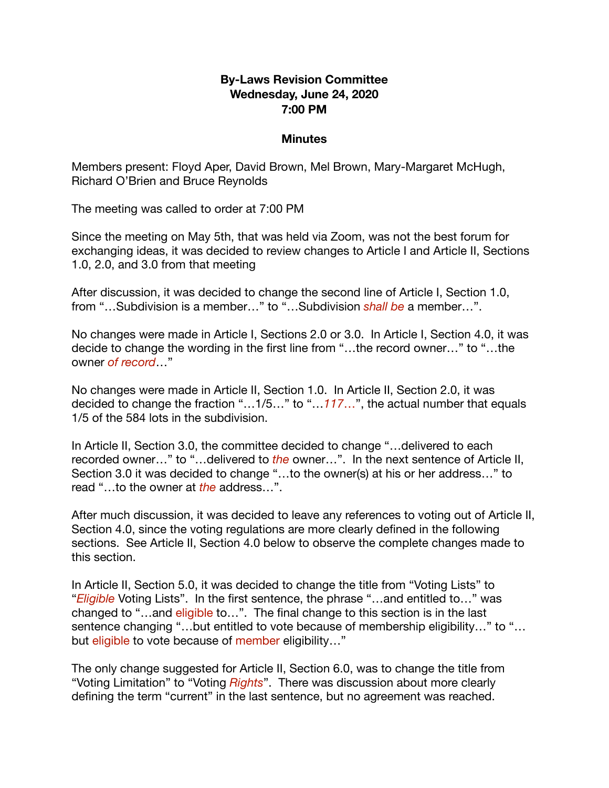## **By-Laws Revision Committee Wednesday, June 24, 2020 7:00 PM**

## **Minutes**

Members present: Floyd Aper, David Brown, Mel Brown, Mary-Margaret McHugh, Richard O'Brien and Bruce Reynolds

The meeting was called to order at 7:00 PM

Since the meeting on May 5th, that was held via Zoom, was not the best forum for exchanging ideas, it was decided to review changes to Article I and Article II, Sections 1.0, 2.0, and 3.0 from that meeting

After discussion, it was decided to change the second line of Article I, Section 1.0, from "…Subdivision is a member…" to "…Subdivision *shall be* a member…".

No changes were made in Article I, Sections 2.0 or 3.0. In Article I, Section 4.0, it was decide to change the wording in the first line from "…the record owner…" to "…the owner *of record*…"

No changes were made in Article II, Section 1.0. In Article II, Section 2.0, it was decided to change the fraction "…1/5…" to "…*117*…", the actual number that equals 1/5 of the 584 lots in the subdivision.

In Article II, Section 3.0, the committee decided to change "…delivered to each recorded owner…" to "…delivered to *the* owner…". In the next sentence of Article II, Section 3.0 it was decided to change "…to the owner(s) at his or her address…" to read "…to the owner at *the* address…".

After much discussion, it was decided to leave any references to voting out of Article II, Section 4.0, since the voting regulations are more clearly defined in the following sections. See Article II, Section 4.0 below to observe the complete changes made to this section.

In Article II, Section 5.0, it was decided to change the title from "Voting Lists" to "*Eligible* Voting Lists". In the first sentence, the phrase "…and entitled to…" was changed to "…and eligible to…". The final change to this section is in the last sentence changing "...but entitled to vote because of membership eligibility..." to "... but eligible to vote because of member eligibility..."

The only change suggested for Article II, Section 6.0, was to change the title from "Voting Limitation" to "Voting *Rights*". There was discussion about more clearly defining the term "current" in the last sentence, but no agreement was reached.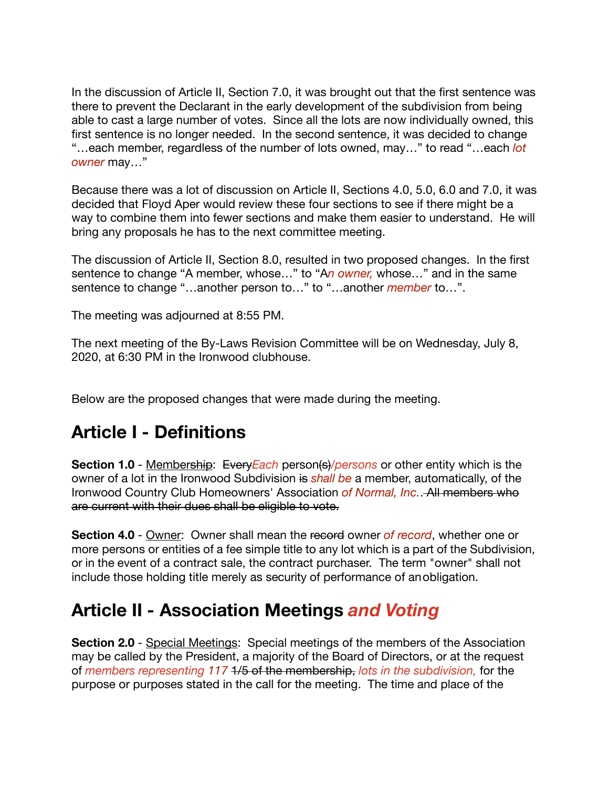In the discussion of Article II, Section 7.0, it was brought out that the first sentence was there to prevent the Declarant in the early development of the subdivision from being able to cast a large number of votes. Since all the lots are now individually owned, this first sentence is no longer needed. In the second sentence, it was decided to change "…each member, regardless of the number of lots owned, may…" to read "…each *lot owner* may…"

Because there was a lot of discussion on Article II, Sections 4.0, 5.0, 6.0 and 7.0, it was decided that Floyd Aper would review these four sections to see if there might be a way to combine them into fewer sections and make them easier to understand. He will bring any proposals he has to the next committee meeting.

The discussion of Article II, Section 8.0, resulted in two proposed changes. In the first sentence to change "A member, whose…" to "A*n owner,* whose…" and in the same sentence to change "…another person to…" to "…another *member* to…".

The meeting was adjourned at 8:55 PM.

The next meeting of the By-Laws Revision Committee will be on Wednesday, July 8, 2020, at 6:30 PM in the Ironwood clubhouse.

Below are the proposed changes that were made during the meeting.

## **Article I - Definitions**

**Section 1.0** - Membership: Every Each person(s)/persons or other entity which is the owner of a lot in the Ironwood Subdivision is *shall be* a member, automatically, of the Ironwood Country Club Homeowners' Association *of Normal, Inc.*. All members who are current with their dues shall be eligible to vote.

**Section 4.0** - Owner: Owner shall mean the record owner *of record*, whether one or more persons or entities of a fee simple title to any lot which is a part of the Subdivision, or in the event of a contract sale, the contract purchaser. The term "owner" shall not include those holding title merely as security of performance of anobligation.

## **Article II - Association Meetings** *and Voting*

**Section 2.0** - Special Meetings: Special meetings of the members of the Association may be called by the President, a majority of the Board of Directors, or at the request of *members representing 117* 1/5 of the membership, *lots in the subdivision,* for the purpose or purposes stated in the call for the meeting. The time and place of the